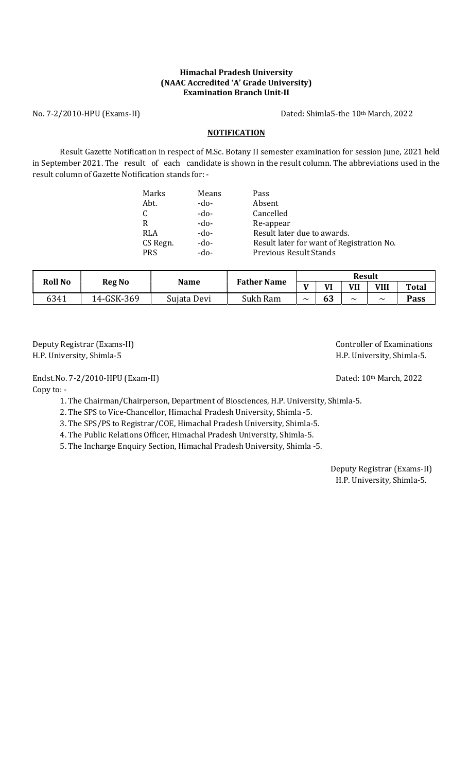## Himachal Pradesh University (NAAC Accredited 'A' Grade University) Examination Branch Unit-II

No. 7-2/2010-HPU (Exams-II) Dated: Shimla5-the 10th March, 2022

# **NOTIFICATION**

Result Gazette Notification in respect of M.Sc. Botany II semester examination for session June, 2021 held in September 2021. The result of each candidate is shown in the result column. The abbreviations used in the result column of Gazette Notification stands for: -

| Marks      | Means  | Pass                                      |
|------------|--------|-------------------------------------------|
| Abt.       | -do-   | Absent                                    |
| C          | -do-   | Cancelled                                 |
| R          | -do-   | Re-appear                                 |
| <b>RLA</b> | -do-   | Result later due to awards.               |
| CS Regn.   | $-do-$ | Result later for want of Registration No. |
| <b>PRS</b> | -do-   | <b>Previous Result Stands</b>             |
|            |        |                                           |

| <b>Roll No</b> |               |             |                    | <b>Result</b>                |    |        |                       |              |  |
|----------------|---------------|-------------|--------------------|------------------------------|----|--------|-----------------------|--------------|--|
|                | <b>Reg No</b> | <b>Name</b> | <b>Father Name</b> | $\mathbf{v}$<br>$\mathbf{v}$ |    | VII    | VIII                  | <b>Total</b> |  |
| 6341           | 14-GSK-369    | Sujata Devi | Sukh Ram           | $\tilde{\phantom{a}}$        | 63 | $\sim$ | $\tilde{\phantom{a}}$ | <b>Pass</b>  |  |

Deputy Registrar (Exams-II) and the controller of Examinations controller of Examinations H.P. University, Shimla-5 H.P. University, Shimla-5.

Endst.No. 7-2/2010-HPU (Exam-II) Dated: 10<sup>th</sup> March, 2022

Copy to: -

1. The Chairman/Chairperson, Department of Biosciences, H.P. University, Shimla-5.

2. The SPS to Vice-Chancellor, Himachal Pradesh University, Shimla -5.

3. The SPS/PS to Registrar/COE, Himachal Pradesh University, Shimla-5.

4. The Public Relations Officer, Himachal Pradesh University, Shimla-5.

5. The Incharge Enquiry Section, Himachal Pradesh University, Shimla -5.

 Deputy Registrar (Exams-II) H.P. University, Shimla-5.